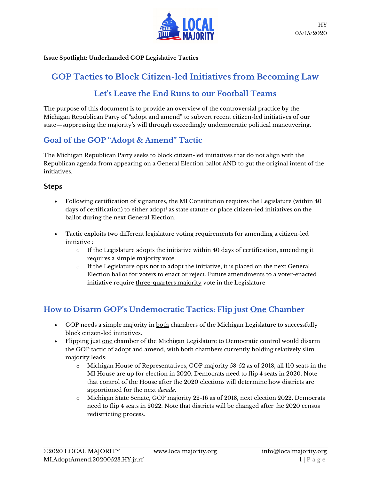

Issue Spotlight: Underhanded GOP Legislative Tactics

## GOP Tactics to Block Citizen-led Initiatives from Becoming Law

## Let's Leave the End Runs to our Football Teams

The purpose of this document is to provide an overview of the controversial practice by the Michigan Republican Party of "adopt and amend" to subvert recent citizen-led initiatives of our state—suppressing the majority's will through exceedingly undemocratic political maneuvering.

## Goal of the GOP "Adopt & Amend" Tactic

The Michigan Republican Party seeks to block citizen-led initiatives that do not align with the Republican agenda from appearing on a General Election ballot AND to gut the original intent of the initiatives.

#### Steps

- Following certification of signatures, the MI Constitution requires the Legislature (within 40 days of certification) to either adopt $^{\rm l}$  as state statute or place citizen-led initiatives on the ballot during the next General Election.
- Tactic exploits two different legislature voting requirements for amending a citizen-led initiative :
	- $\circ$  If the Legislature adopts the initiative within 40 days of certification, amending it requires a simple majority vote.
	- o If the Legislature opts not to adopt the initiative, it is placed on the next General Election ballot for voters to enact or reject. Future amendments to a voter-enacted initiative require three-quarters majority vote in the Legislature

## How to Disarm GOP's Undemocratic Tactics: Flip just One Chamber

- GOP needs a simple majority in both chambers of the Michigan Legislature to successfully block citizen-led initiatives.
- Flipping just one chamber of the Michigan Legislature to Democratic control would disarm the GOP tactic of adopt and amend, with both chambers currently holding relatively slim majority leads:
	- o Michigan House of Representatives, GOP majority 58-52 as of 2018, all 110 seats in the MI House are up for election in 2020. Democrats need to flip 4 seats in 2020. Note that control of the House after the 2020 elections will determine how districts are apportioned for the next decade.
	- o Michigan State Senate, GOP majority 22-16 as of 2018, next election 2022. Democrats need to flip 4 seats in 2022. Note that districts will be changed after the 2020 census redistricting process.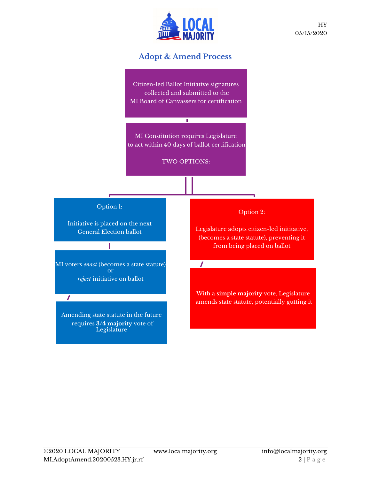

### Adopt & Amend Process

Citizen-led Ballot Initiative signatures collected and submitted to the MI Board of Canvassers for certification

MI Constitution requires Legislature to act within 40 days of ballot certification

Τ

TWO OPTIONS:

Option 1:

Initiative is placed on the next General Election ballot

MI voters *enact* (becomes a state statute) or reject initiative on ballot

 $\overline{I}$ 

Amending state statute in the future requires 3/4 majority vote of Legislature

Option 2:

ONS:<br>
Option 2:<br>
Legislature adopts citizen-led inititative,<br>
(becomes a state statute), preventing it<br>
from being placed on ballot (becomes a state statute), preventing it from being placed on ballot

 $\mathbf{I}$  and  $\mathbf{I}$ 

With a simple majority vote, Legislature amends state statute, potentially gutting it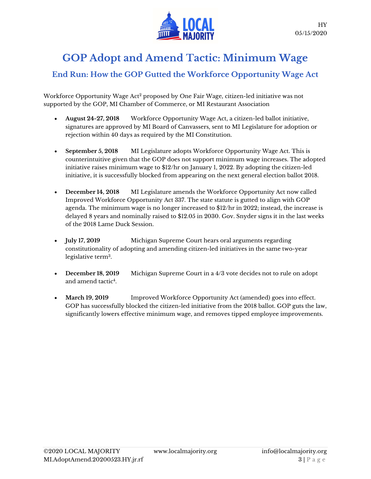

# GOP Adopt and Amend Tactic: Minimum Wage

## End Run: How the GOP Gutted the Workforce Opportunity Wage Act

Workforce Opportunity Wage Act<sup>2</sup> proposed by One Fair Wage, citizen-led initiative was not supported by the GOP, MI Chamber of Commerce, or MI Restaurant Association

- August 24-27, 2018 Workforce Opportunity Wage Act, a citizen-led ballot initiative, signatures are approved by MI Board of Canvassers, sent to MI Legislature for adoption or rejection within 40 days as required by the MI Constitution.
- September 5, 2018 MI Legislature adopts Workforce Opportunity Wage Act. This is counterintuitive given that the GOP does not support minimum wage increases. The adopted initiative raises minimum wage to \$12/hr on January 1, 2022. By adopting the citizen-led initiative, it is successfully blocked from appearing on the next general election ballot 2018.
- December 14, 2018 MI Legislature amends the Workforce Opportunity Act now called Improved Workforce Opportunity Act 337. The state statute is gutted to align with GOP agenda. The minimum wage is no longer increased to \$12/hr in 2022; instead, the increase is delayed 8 years and nominally raised to \$12.05 in 2030. Gov. Snyder signs it in the last weeks of the 2018 Lame Duck Session.
- **July 17, 2019** Michigan Supreme Court hears oral arguments regarding constitutionality of adopting and amending citizen-led initiatives in the same two-year legislative term<sup>3</sup> .
- December 18, 2019 Michigan Supreme Court in a 4/3 vote decides not to rule on adopt and amend tactic<sup>4</sup> .
- March 19, 2019 Improved Workforce Opportunity Act (amended) goes into effect. GOP has successfully blocked the citizen-led initiative from the 2018 ballot. GOP guts the law, significantly lowers effective minimum wage, and removes tipped employee improvements.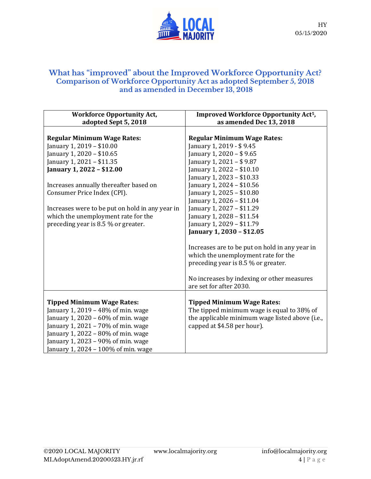

#### What has "improved" about the Improved Workforce Opportunity Act? Comparison of Workforce Opportunity Act as adopted September 5, 2018 and as amended in December 13, 2018

| <b>Workforce Opportunity Act,</b>                                                                                                                                                                                                                                                                                         | <b>Improved Workforce Opportunity Act<sup>5</sup></b> ,                                                                                                                                                                                                                                                                           |
|---------------------------------------------------------------------------------------------------------------------------------------------------------------------------------------------------------------------------------------------------------------------------------------------------------------------------|-----------------------------------------------------------------------------------------------------------------------------------------------------------------------------------------------------------------------------------------------------------------------------------------------------------------------------------|
| adopted Sept 5, 2018                                                                                                                                                                                                                                                                                                      | as amended Dec 13, 2018                                                                                                                                                                                                                                                                                                           |
| <b>Regular Minimum Wage Rates:</b><br>January 1, 2019 - \$10.00<br>January 1, 2020 - \$10.65<br>January 1, 2021 - \$11.35<br>January 1, 2022 - \$12.00<br>Increases annually thereafter based on<br>Consumer Price Index (CPI).<br>Increases were to be put on hold in any year in<br>which the unemployment rate for the | <b>Regular Minimum Wage Rates:</b><br>January 1, 2019 - \$9.45<br>January 1, 2020 - \$9.65<br>January 1, 2021 - \$9.87<br>January 1, 2022 - \$10.10<br>January 1, 2023 - \$10.33<br>January 1, 2024 - \$10.56<br>January 1, 2025 - \$10.80<br>January 1, 2026 - \$11.04<br>January 1, 2027 - \$11.29<br>January 1, 2028 - \$11.54 |
| preceding year is 8.5 % or greater.                                                                                                                                                                                                                                                                                       | January 1, 2029 - \$11.79                                                                                                                                                                                                                                                                                                         |
|                                                                                                                                                                                                                                                                                                                           | January 1, 2030 - \$12.05                                                                                                                                                                                                                                                                                                         |
|                                                                                                                                                                                                                                                                                                                           | Increases are to be put on hold in any year in<br>which the unemployment rate for the<br>preceding year is 8.5 % or greater.                                                                                                                                                                                                      |
|                                                                                                                                                                                                                                                                                                                           | No increases by indexing or other measures<br>are set for after 2030.                                                                                                                                                                                                                                                             |
| <b>Tipped Minimum Wage Rates:</b><br>January 1, 2019 - 48% of min. wage<br>January 1, 2020 – $60\%$ of min. wage<br>January 1, $2021 - 70\%$ of min. wage<br>January 1, 2022 – $80\%$ of min. wage<br>January 1, 2023 - 90% of min. wage<br>January 1, 2024 - 100% of min. wage                                           | <b>Tipped Minimum Wage Rates:</b><br>The tipped minimum wage is equal to 38% of<br>the applicable minimum wage listed above (i.e.,<br>capped at \$4.58 per hour).                                                                                                                                                                 |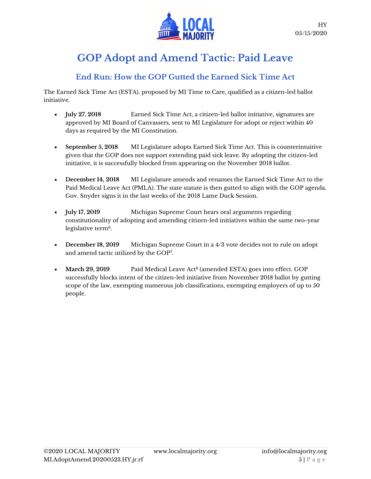

# GOP Adopt and Amend Tactic: Paid Leave

## End Run: How the GOP Gutted the Earned Sick Time Act

The Earned Sick Time Act (ESTA), proposed by MI Time to Care, qualified as a citizen-led ballot initiative.

- **July 27, 2018** Earned Sick Time Act, a citizen-led ballot initiative, signatures are approved by MI Board of Canvassers, sent to MI Legislature for adopt or reject within 40 days as required by the MI Constitution.
- September 5, 2018 MI Legislature adopts Earned Sick Time Act. This is counterintuitive given that the GOP does not support extending paid sick leave. By adopting the citizen-led initiative, it is successfully blocked from appearing on the November 2018 ballot.
- December 14, 2018 MI Legislature amends and renames the Earned Sick Time Act to the Paid Medical Leave Act (PMLA). The state statute is then gutted to align with the GOP agenda. Gov. Snyder signs it in the last weeks of the 2018 Lame Duck Session.
- July 17, 2019 Michigan Supreme Court hears oral arguments regarding constitutionality of adopting and amending citizen-led initiatives within the same two-year legislative term<sup>6</sup>.
- December 18, 2019 Michigan Supreme Court in a 4/3 vote decides not to rule on adopt and amend tactic utilized by the GOP<sup>7</sup> .
- March 29, 2019 Paid Medical Leave Act $^8$  (amended ESTA) goes into effect. GOP successfully blocks intent of the citizen-led initiative from November 2018 ballot by gutting scope of the law, exempting numerous job classifications, exempting employers of up to 50 people.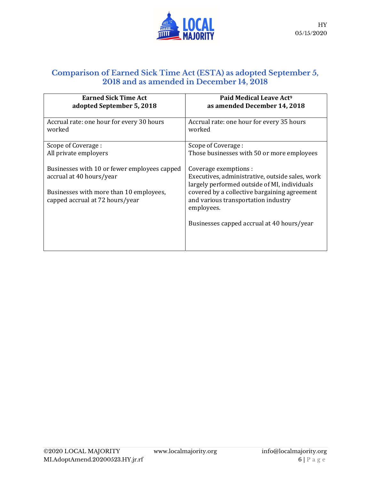

### Comparison of Earned Sick Time Act (ESTA) as adopted September 5, 2018 and as amended in December 14, 2018

| <b>Earned Sick Time Act</b><br>adopted September 5, 2018                                                                                               | Paid Medical Leave Act <sup>9</sup><br>as amended December 14, 2018                                                                                                                                                           |
|--------------------------------------------------------------------------------------------------------------------------------------------------------|-------------------------------------------------------------------------------------------------------------------------------------------------------------------------------------------------------------------------------|
| Accrual rate: one hour for every 30 hours<br>worked                                                                                                    | Accrual rate: one hour for every 35 hours<br>worked                                                                                                                                                                           |
| Scope of Coverage :                                                                                                                                    | Scope of Coverage :                                                                                                                                                                                                           |
| All private employers                                                                                                                                  | Those businesses with 50 or more employees                                                                                                                                                                                    |
| Businesses with 10 or fewer employees capped<br>accrual at 40 hours/year<br>Businesses with more than 10 employees,<br>capped accrual at 72 hours/year | Coverage exemptions :<br>Executives, administrative, outside sales, work<br>largely performed outside of MI, individuals<br>covered by a collective bargaining agreement<br>and various transportation industry<br>employees. |
|                                                                                                                                                        | Businesses capped accrual at 40 hours/year                                                                                                                                                                                    |